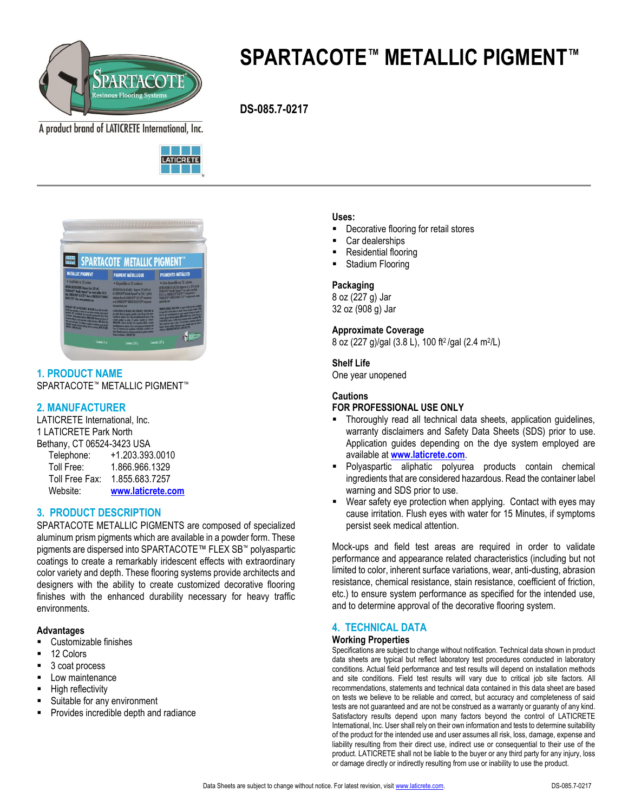

# **SPARTACOTE™ METALLIC PIGMENT™**

 **DS-085.7-0217**

A product brand of LATICRETE International, Inc.





**1. PRODUCT NAME** SPARTACOTE™ METALLIC PIGMENT™

# **2. MANUFACTURER**

LATICRETE International, Inc. 1 LATICRETE Park North Bethany, CT 06524-3423 USA Telephone: +1.203.393.0010

| - - - - -<br>Toll Free: | 1.866.966.1329    |
|-------------------------|-------------------|
|                         |                   |
| Toll Free Fax:          | 1.855.683.7257    |
| Website:                | www.laticrete.com |

# **3. PRODUCT DESCRIPTION**

SPARTACOTE METALLIC PIGMENTS are composed of specialized aluminum prism pigments which are available in a powder form. These pigments are dispersed into SPARTACOTE™ FLEX SB™ polyaspartic coatings to create a remarkably iridescent effects with extraordinary color variety and depth. These flooring systems provide architects and designers with the ability to create customized decorative flooring finishes with the enhanced durability necessary for heavy traffic environments.

## **Advantages**

- Customizable finishes
- 12 Colors
- 3 coat process
- Low maintenance
- High reflectivity
- Suitable for any environment
- Provides incredible depth and radiance

#### **Uses:**

- Decorative flooring for retail stores
- Car dealerships
- Residential flooring
- Stadium Flooring

#### **Packaging**

8 oz (227 g) Jar 32 oz (908 g) Jar

# **Approximate Coverage**

8 oz (227 g)/gal (3.8 L), 100 ft2 /gal (2.4 m<sup>2</sup> /L)

#### **Shelf Life**

One year unopened

#### **Cautions**

## **FOR PROFESSIONAL USE ONLY**

- **Thoroughly read all technical data sheets, application quidelines,** warranty disclaimers and Safety Data Sheets (SDS) prior to use. Application guides depending on the dye system employed are available at **[www.laticrete.com](http://www.spartacote.com/)**.
- Polyaspartic aliphatic polyurea products contain chemical ingredients that are considered hazardous. Read the container label warning and SDS prior to use.
- Wear safety eye protection when applying. Contact with eyes may cause irritation. Flush eyes with water for 15 Minutes, if symptoms persist seek medical attention.

Mock-ups and field test areas are required in order to validate performance and appearance related characteristics (including but not limited to color, inherent surface variations, wear, anti-dusting, abrasion resistance, chemical resistance, stain resistance, coefficient of friction, etc.) to ensure system performance as specified for the intended use, and to determine approval of the decorative flooring system.

# **4. TECHNICAL DATA**

#### **Working Properties**

Specifications are subject to change without notification. Technical data shown in product data sheets are typical but reflect laboratory test procedures conducted in laboratory conditions. Actual field performance and test results will depend on installation methods and site conditions. Field test results will vary due to critical job site factors. All recommendations, statements and technical data contained in this data sheet are based on tests we believe to be reliable and correct, but accuracy and completeness of said tests are not guaranteed and are not be construed as a warranty or guaranty of any kind. Satisfactory results depend upon many factors beyond the control of LATICRETE International, Inc. User shall rely on their own information and tests to determine suitability of the product for the intended use and user assumes all risk, loss, damage, expense and liability resulting from their direct use, indirect use or consequential to their use of the product. LATICRETE shall not be liable to the buyer or any third party for any injury, loss or damage directly or indirectly resulting from use or inability to use the product.